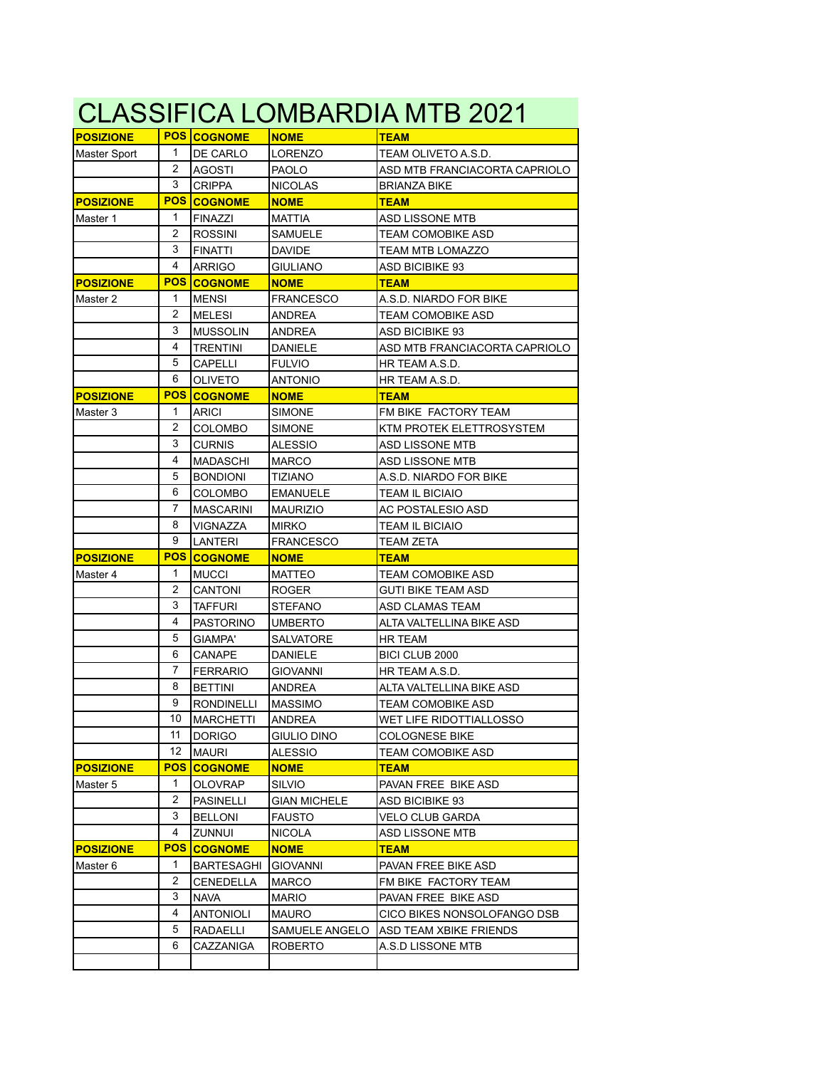| CLASSIFICA LOMBARDIA MTB 2021 |            |                    |                     |                               |  |  |
|-------------------------------|------------|--------------------|---------------------|-------------------------------|--|--|
| <b>POSIZIONE</b>              |            | <b>POS COGNOME</b> | <b>NOME</b>         | <b>TEAM</b>                   |  |  |
| Master Sport                  | 1          | DE CARLO           | <b>LORENZO</b>      | TEAM OLIVETO A.S.D.           |  |  |
|                               | 2          | <b>AGOSTI</b>      | <b>PAOLO</b>        | ASD MTB FRANCIACORTA CAPRIOLO |  |  |
|                               | 3          | <b>CRIPPA</b>      | <b>NICOLAS</b>      | <b>BRIANZA BIKE</b>           |  |  |
| <b>POSIZIONE</b>              | <b>POS</b> | <b>COGNOME</b>     | <b>NOME</b>         | <b>TEAM</b>                   |  |  |
| Master 1                      | 1          | <b>FINAZZI</b>     | MATTIA              | ASD LISSONE MTB               |  |  |
|                               | 2          | <b>ROSSINI</b>     | <b>SAMUELE</b>      | <b>TEAM COMOBIKE ASD</b>      |  |  |
|                               | 3          | <b>FINATTI</b>     | <b>DAVIDE</b>       | TEAM MTB LOMAZZO              |  |  |
|                               | 4          | <b>ARRIGO</b>      | GIULIANO            | <b>ASD BICIBIKE 93</b>        |  |  |
| <b>POSIZIONE</b>              | <b>POS</b> | <b>COGNOME</b>     | <b>NOME</b>         | <b>TEAM</b>                   |  |  |
| Master 2                      | 1          | <b>MENSI</b>       | <b>FRANCESCO</b>    | A.S.D. NIARDO FOR BIKE        |  |  |
|                               | 2          | <b>MELESI</b>      | <b>ANDREA</b>       | <b>TEAM COMOBIKE ASD</b>      |  |  |
|                               | 3          | <b>MUSSOLIN</b>    | ANDREA              | <b>ASD BICIBIKE 93</b>        |  |  |
|                               | 4          | <b>TRENTINI</b>    | DANIELE             | ASD MTB FRANCIACORTA CAPRIOLO |  |  |
|                               | 5          | CAPELLI            | <b>FULVIO</b>       | HR TEAM A.S.D.                |  |  |
|                               | 6          | <b>OLIVETO</b>     | <b>ANTONIO</b>      | HR TEAM A.S.D.                |  |  |
| <b>POSIZIONE</b>              | <b>POS</b> | <b>COGNOME</b>     | <b>NOME</b>         | <b>TEAM</b>                   |  |  |
| Master 3                      | 1          | <b>ARICI</b>       | <b>SIMONE</b>       | FM BIKE FACTORY TEAM          |  |  |
|                               | 2          | COLOMBO            | <b>SIMONE</b>       | KTM PROTEK ELETTROSYSTEM      |  |  |
|                               | 3          | <b>CURNIS</b>      | <b>ALESSIO</b>      | ASD LISSONE MTB               |  |  |
|                               | 4          | <b>MADASCHI</b>    | <b>MARCO</b>        | ASD LISSONE MTB               |  |  |
|                               | 5          | <b>BONDIONI</b>    | <b>TIZIANO</b>      | A.S.D. NIARDO FOR BIKE        |  |  |
|                               | 6          | COLOMBO            | <b>EMANUELE</b>     | <b>TEAM IL BICIAIO</b>        |  |  |
|                               | 7          | <b>MASCARINI</b>   | <b>MAURIZIO</b>     | AC POSTALESIO ASD             |  |  |
|                               | 8          | VIGNAZZA           | <b>MIRKO</b>        | <b>TEAM IL BICIAIO</b>        |  |  |
|                               | 9          | LANTERI            |                     |                               |  |  |
|                               |            |                    | <b>FRANCESCO</b>    | <b>TEAM ZETA</b>              |  |  |
| <b>POSIZIONE</b>              | <b>POS</b> | <b>COGNOME</b>     | <b>NOME</b>         | <b>TEAM</b>                   |  |  |
| Master 4                      | 1          | <b>MUCCI</b>       | <b>MATTEO</b>       | <b>TEAM COMOBIKE ASD</b>      |  |  |
|                               | 2          | CANTONI            | <b>ROGER</b>        | GUTI BIKE TEAM ASD            |  |  |
|                               | 3          | <b>TAFFURI</b>     | <b>STEFANO</b>      | ASD CLAMAS TEAM               |  |  |
|                               | 4          | <b>PASTORINO</b>   | <b>UMBERTO</b>      | ALTA VALTELLINA BIKE ASD      |  |  |
|                               | 5          | GIAMPA'            | SALVATORE           | <b>HR TEAM</b>                |  |  |
|                               | 6          | <b>CANAPE</b>      | <b>DANIELE</b>      | BICI CLUB 2000                |  |  |
|                               | 7          | <b>FERRARIO</b>    | <b>GIOVANNI</b>     | HR TEAM A.S.D.                |  |  |
|                               | 8          | <b>BETTINI</b>     | <b>ANDREA</b>       | ALTA VALTELLINA BIKE ASD      |  |  |
|                               | 9          | <b>RONDINELLI</b>  | IMASSIMO            | <b>TEAM COMOBIKE ASD</b>      |  |  |
|                               | 10         | <b>MARCHETTI</b>   | ANDREA              | WET LIFE RIDOTTIALLOSSO       |  |  |
|                               | 11         | <b>DORIGO</b>      | <b>GIULIO DINO</b>  | <b>COLOGNESE BIKE</b>         |  |  |
|                               | 12         | <b>MAURI</b>       | <b>ALESSIO</b>      | <b>TEAM COMOBIKE ASD</b>      |  |  |
| <b>POSIZIONE</b>              | <b>POS</b> | <b>COGNOME</b>     | <b>NOME</b>         | <b>TEAM</b>                   |  |  |
| Master 5                      | 1          | <b>OLOVRAP</b>     | <b>SILVIO</b>       | PAVAN FREE BIKE ASD           |  |  |
|                               | 2          | <b>PASINELLI</b>   | <b>GIAN MICHELE</b> | <b>ASD BICIBIKE 93</b>        |  |  |
|                               | 3          | <b>BELLONI</b>     | <b>FAUSTO</b>       | <b>VELO CLUB GARDA</b>        |  |  |
|                               | 4          | ZUNNUI             | <b>NICOLA</b>       | ASD LISSONE MTB               |  |  |
| <b>POSIZIONE</b>              | <b>POS</b> | <b>COGNOME</b>     | <b>NOME</b>         | <b>TEAM</b>                   |  |  |
| Master 6                      | 1          | BARTESAGHI         | <b>GIOVANNI</b>     | PAVAN FREE BIKE ASD           |  |  |
|                               | 2          | CENEDELLA          | <b>MARCO</b>        | FM BIKE FACTORY TEAM          |  |  |
|                               | 3          | <b>NAVA</b>        | <b>MARIO</b>        | PAVAN FREE BIKE ASD           |  |  |
|                               | 4          | <b>ANTONIOLI</b>   | <b>MAURO</b>        | CICO BIKES NONSOLOFANGO DSB   |  |  |
|                               | 5          | RADAELLI           | SAMUELE ANGELO      | ASD TEAM XBIKE FRIENDS        |  |  |
|                               | 6          | CAZZANIGA          | <b>ROBERTO</b>      | A.S.D LISSONE MTB             |  |  |